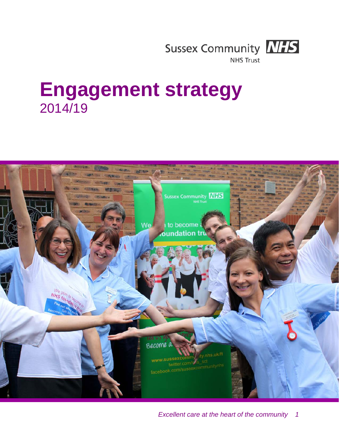

**NHS Trust** 

# **Engagement strategy** 2014/19

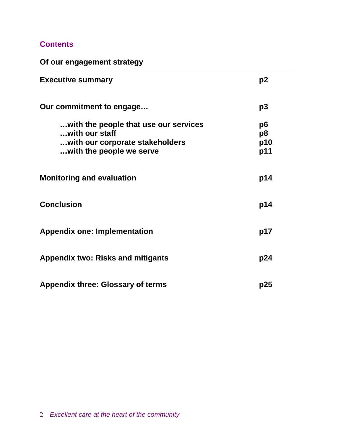## **Contents**

**Of our engagement strategy**

| <b>Executive summary</b>                                                                                               | p2                     |
|------------------------------------------------------------------------------------------------------------------------|------------------------|
| Our commitment to engage                                                                                               | p3                     |
| with the people that use our services<br>with our staff<br>with our corporate stakeholders<br>with the people we serve | p6<br>p8<br>p10<br>p11 |
| <b>Monitoring and evaluation</b>                                                                                       | p14                    |
| <b>Conclusion</b>                                                                                                      | p14                    |
| <b>Appendix one: Implementation</b>                                                                                    | p17                    |
| <b>Appendix two: Risks and mitigants</b>                                                                               | p24                    |
| <b>Appendix three: Glossary of terms</b>                                                                               | p25                    |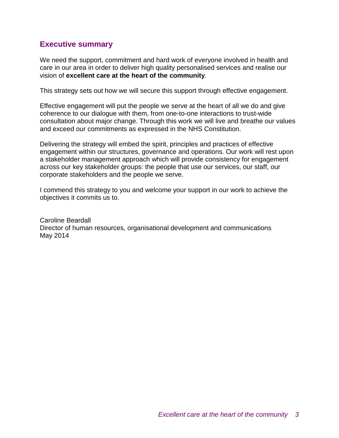## **Executive summary**

We need the support, commitment and hard work of everyone involved in health and care in our area in order to deliver high quality personalised services and realise our vision of **excellent care at the heart of the community**.

This strategy sets out how we will secure this support through effective engagement.

Effective engagement will put the people we serve at the heart of all we do and give coherence to our dialogue with them, from one-to-one interactions to trust-wide consultation about major change. Through this work we will live and breathe our values and exceed our commitments as expressed in the NHS Constitution.

Delivering the strategy will embed the spirit, principles and practices of effective engagement within our structures, governance and operations. Our work will rest upon a stakeholder management approach which will provide consistency for engagement across our key stakeholder groups: the people that use our services, our staff, our corporate stakeholders and the people we serve.

I commend this strategy to you and welcome your support in our work to achieve the objectives it commits us to.

Caroline Beardall Director of human resources, organisational development and communications May 2014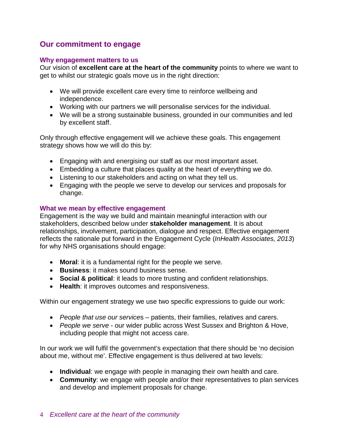## **Our commitment to engage**

#### **Why engagement matters to us**

Our vision of **excellent care at the heart of the community** points to where we want to get to whilst our strategic goals move us in the right direction:

- We will provide excellent care every time to reinforce wellbeing and independence.
- Working with our partners we will personalise services for the individual.
- We will be a strong sustainable business, grounded in our communities and led by excellent staff.

Only through effective engagement will we achieve these goals. This engagement strategy shows how we will do this by:

- Engaging with and energising our staff as our most important asset.
- Embedding a culture that places quality at the heart of everything we do.
- Listening to our stakeholders and acting on what they tell us.
- Engaging with the people we serve to develop our services and proposals for change.

#### **What we mean by effective engagement**

Engagement is the way we build and maintain meaningful interaction with our stakeholders, described below under **stakeholder management**. It is about relationships, involvement, participation, dialogue and respect. Effective engagement reflects the rationale put forward in the Engagement Cycle (*InHealth Associates, 2013*) for why NHS organisations should engage:

- **Moral**: it is a fundamental right for the people we serve.
- **Business**: it makes sound business sense.
- **Social & political**: it leads to more trusting and confident relationships.
- **Health**: it improves outcomes and responsiveness.

Within our engagement strategy we use two specific expressions to guide our work:

- *People that use our service*s patients, their families, relatives and carers.
- *People we serve* our wider public across West Sussex and Brighton & Hove, including people that might not access care.

In our work we will fulfil the government's expectation that there should be 'no decision about me, without me'. Effective engagement is thus delivered at two levels:

- **Individual**: we engage with people in managing their own health and care.
- **Community**: we engage with people and/or their representatives to plan services and develop and implement proposals for change.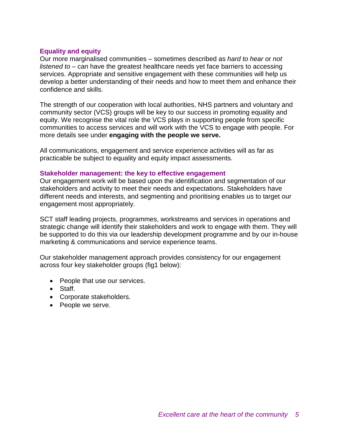#### **Equality and equity**

Our more marginalised communities – sometimes described as *hard to hear* or *not listened to* – can have the greatest healthcare needs yet face barriers to accessing services. Appropriate and sensitive engagement with these communities will help us develop a better understanding of their needs and how to meet them and enhance their confidence and skills.

The strength of our cooperation with local authorities, NHS partners and voluntary and community sector (VCS) groups will be key to our success in promoting equality and equity. We recognise the vital role the VCS plays in supporting people from specific communities to access services and will work with the VCS to engage with people. For more details see under **engaging with the people we serve.**

All communications, engagement and service experience activities will as far as practicable be subject to equality and equity impact assessments.

#### **Stakeholder management: the key to effective engagement**

Our engagement work will be based upon the identification and segmentation of our stakeholders and activity to meet their needs and expectations. Stakeholders have different needs and interests, and segmenting and prioritising enables us to target our engagement most appropriately.

SCT staff leading projects, programmes, workstreams and services in operations and strategic change will identify their stakeholders and work to engage with them. They will be supported to do this via our leadership development programme and by our in-house marketing & communications and service experience teams.

Our stakeholder management approach provides consistency for our engagement across four key stakeholder groups (fig1 below):

- People that use our services.
- Staff.
- Corporate stakeholders.
- People we serve.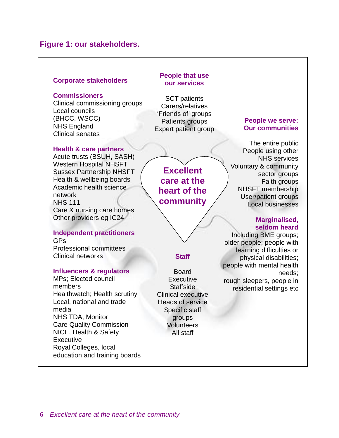## **Figure 1: our stakeholders.**

#### **Corporate stakeholders**

#### **Commissioners**

Clinical commissioning groups Local councils (BHCC, WSCC) NHS England Clinical senates

#### **Health & care partners**

Acute trusts (BSUH, SASH) Western Hospital NHSFT Sussex Partnership NHSFT Health & wellbeing boards Academic health science network NHS 111 Care & nursing care homes Other providers eg IC24

## **Independent practitioners**

GPs Professional committees Clinical networks

#### **Influencers & regulators**

MPs; Elected council members Healthwatch; Health scrutiny Local, national and trade media NHS TDA, Monitor Care Quality Commission NICE, Health & Safety **Executive** Royal Colleges, local education and training boards

#### **People that use our services**

SCT patients Carers/relatives 'Friends of' groups Patients groups Expert patient group

**Excellent care at the heart of the community**

#### **Staff**

Board **Executive** Staffside Clinical executive Heads of service Specific staff groups **Volunteers** All staff

#### **People we serve: Our communities**

The entire public People using other NHS services Voluntary & community sector groups Faith groups NHSFT membership User/patient groups Local businesses

#### **Marginalised, seldom heard**

Including BME groups; older people; people with learning difficulties or physical disabilities; people with mental health needs; rough sleepers, people in residential settings etc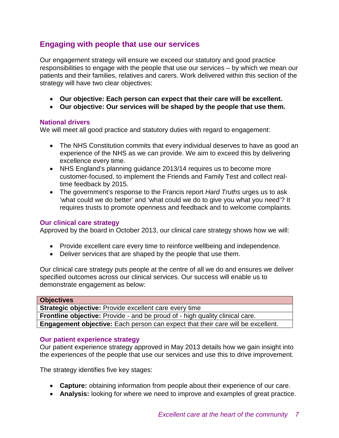## **Engaging with people that use our services**

Our engagement strategy will ensure we exceed our statutory and good practice responsibilities to engage with the people that use our services – by which we mean our patients and their families, relatives and carers. Work delivered within this section of the strategy will have two clear objectives:

- **Our objective: Each person can expect that their care will be excellent.**
- **Our objective: Our services will be shaped by the people that use them.**

#### **National drivers**

We will meet all good practice and statutory duties with regard to engagement:

- The NHS Constitution commits that every individual deserves to have as good an experience of the NHS as we can provide. We aim to exceed this by delivering excellence every time.
- NHS England's planning quidance 2013/14 requires us to become more customer-focused, to implement the Friends and Family Test and collect realtime feedback by 2015.
- The government's response to the Francis report *Hard Truths* urges us to ask 'what could we do better' and 'what could we do to give you what you need'? It requires trusts to promote openness and feedback and to welcome complaints.

#### **Our clinical care strategy**

Approved by the board in October 2013, our clinical care strategy shows how we will:

- Provide excellent care every time to reinforce wellbeing and independence.
- Deliver services that are shaped by the people that use them.

Our clinical care strategy puts people at the centre of all we do and ensures we deliver specified outcomes across our clinical services. Our success will enable us to demonstrate engagement as below:

#### **Our patient experience strategy**

Our patient experience strategy approved in May 2013 details how we gain insight into the experiences of the people that use our services and use this to drive improvement.

The strategy identifies five key stages:

- **Capture:** obtaining information from people about their experience of our care.
- **Analysis:** looking for where we need to improve and examples of great practice.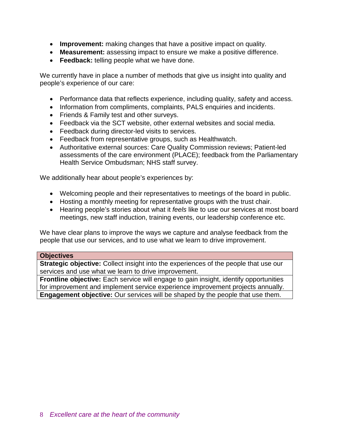- **Improvement:** making changes that have a positive impact on quality.
- **Measurement:** assessing impact to ensure we make a positive difference.
- **Feedback:** telling people what we have done.

We currently have in place a number of methods that give us insight into quality and people's experience of our care:

- Performance data that reflects experience, including quality, safety and access.
- Information from compliments, complaints, PALS enquiries and incidents.
- Friends & Family test and other surveys.
- Feedback via the SCT website, other external websites and social media.
- Feedback during director-led visits to services.
- Feedback from representative groups, such as Healthwatch.
- Authoritative external sources: Care Quality Commission reviews; Patient-led assessments of the care environment (PLACE); feedback from the Parliamentary Health Service Ombudsman; NHS staff survey.

We additionally hear about people's experiences by:

- Welcoming people and their representatives to meetings of the board in public.
- Hosting a monthly meeting for representative groups with the trust chair.
- Hearing people's stories about what it *feels* like to use our services at most board meetings, new staff induction, training events, our leadership conference etc.

We have clear plans to improve the ways we capture and analyse feedback from the people that use our services, and to use what we learn to drive improvement.

#### **Objectives**

**Strategic objective:** Collect insight into the experiences of the people that use our services and use what we learn to drive improvement.

**Frontline objective:** Each service will engage to gain insight, identify opportunities for improvement and implement service experience improvement projects annually. **Engagement objective:** Our services will be shaped by the people that use them.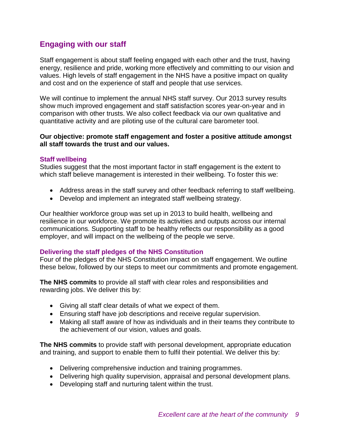## **Engaging with our staff**

Staff engagement is about staff feeling engaged with each other and the trust, having energy, resilience and pride, working more effectively and committing to our vision and values. High levels of staff engagement in the NHS have a positive impact on quality and cost and on the experience of staff and people that use services.

We will continue to implement the annual NHS staff survey. Our 2013 survey results show much improved engagement and staff satisfaction scores year-on-year and in comparison with other trusts. We also collect feedback via our own qualitative and quantitative activity and are piloting use of the cultural care barometer tool.

#### **Our objective: promote staff engagement and foster a positive attitude amongst all staff towards the trust and our values.**

#### **Staff wellbeing**

Studies suggest that the most important factor in staff engagement is the extent to which staff believe management is interested in their wellbeing. To foster this we:

- Address areas in the staff survey and other feedback referring to staff wellbeing.
- Develop and implement an integrated staff wellbeing strategy.

Our healthier workforce group was set up in 2013 to build health, wellbeing and resilience in our workforce. We promote its activities and outputs across our internal communications. Supporting staff to be healthy reflects our responsibility as a good employer, and will impact on the wellbeing of the people we serve.

#### **Delivering the staff pledges of the NHS Constitution**

Four of the pledges of the NHS Constitution impact on staff engagement. We outline these below, followed by our steps to meet our commitments and promote engagement.

**The NHS commits** to provide all staff with clear roles and responsibilities and rewarding jobs. We deliver this by:

- Giving all staff clear details of what we expect of them.
- Ensuring staff have job descriptions and receive regular supervision.
- Making all staff aware of how as individuals and in their teams they contribute to the achievement of our vision, values and goals.

**The NHS commits** to provide staff with personal development, appropriate education and training, and support to enable them to fulfil their potential. We deliver this by:

- Delivering comprehensive induction and training programmes.
- Delivering high quality supervision, appraisal and personal development plans.
- Developing staff and nurturing talent within the trust.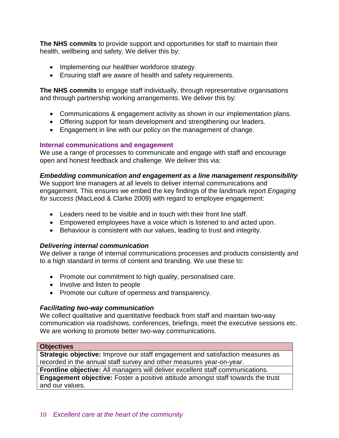**The NHS commits** to provide support and opportunities for staff to maintain their health, wellbeing and safety. We deliver this by:

- Implementing our healthier workforce strategy.
- Ensuring staff are aware of health and safety requirements.

**The NHS commits** to engage staff individually, through representative organisations and through partnership working arrangements. We deliver this by:

- Communications & engagement activity as shown in our implementation plans.
- Offering support for team development and strengthening our leaders.
- Engagement in line with our policy on the management of change.

#### **Internal communications and engagement**

We use a range of processes to communicate and engage with staff and encourage open and honest feedback and challenge. We deliver this via:

#### *Embedding communication and engagement as a line management responsibility*

We support line managers at all levels to deliver internal communications and engagement. This ensures we embed the key findings of the landmark report *Engaging for success* (MacLeod & Clarke 2009) with regard to employee engagement:

- Leaders need to be visible and in touch with their front line staff.
- Empowered employees have a voice which is listened to and acted upon.
- Behaviour is consistent with our values, leading to trust and integrity.

#### *Delivering internal communication*

We deliver a range of internal communications processes and products consistently and to a high standard in terms of content and branding. We use these to:

- Promote our commitment to high quality, personalised care.
- Involve and listen to people
- Promote our culture of openness and transparency.

#### *Facilitating two-way communication*

We collect qualitative and quantitative feedback from staff and maintain two-way communication via roadshows, conferences, briefings, meet the executive sessions etc. We are working to promote better two-way communications.

#### **Objectives**

**Strategic objective:** Improve our staff engagement and satisfaction measures as recorded in the annual staff survey and other measures year-on-year.

**Frontline objective:** All managers will deliver excellent staff communications.

**Engagement objective:** Foster a positive attitude amongst staff towards the trust and our values.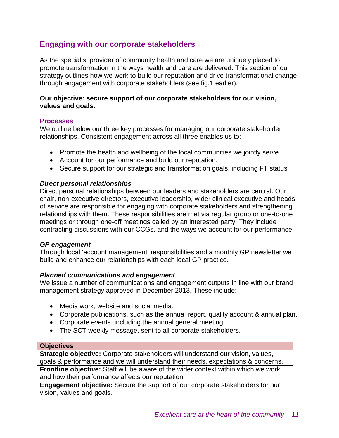## **Engaging with our corporate stakeholders**

As the specialist provider of community health and care we are uniquely placed to promote transformation in the ways health and care are delivered. This section of our strategy outlines how we work to build our reputation and drive transformational change through engagement with corporate stakeholders (see fig.1 earlier).

#### **Our objective: secure support of our corporate stakeholders for our vision, values and goals.**

#### **Processes**

We outline below our three key processes for managing our corporate stakeholder relationships. Consistent engagement across all three enables us to:

- Promote the health and wellbeing of the local communities we jointly serve.
- Account for our performance and build our reputation.
- Secure support for our strategic and transformation goals, including FT status.

#### *Direct personal relationships*

Direct personal relationships between our leaders and stakeholders are central. Our chair, non-executive directors, executive leadership, wider clinical executive and heads of service are responsible for engaging with corporate stakeholders and strengthening relationships with them. These responsibilities are met via regular group or one-to-one meetings or through one-off meetings called by an interested party. They include contracting discussions with our CCGs, and the ways we account for our performance.

#### *GP engagement*

Through local 'account management' responsibilities and a monthly GP newsletter we build and enhance our relationships with each local GP practice.

#### *Planned communications and engagement*

We issue a number of communications and engagement outputs in line with our brand management strategy approved in December 2013. These include:

- Media work, website and social media.
- Corporate publications, such as the annual report, quality account & annual plan.
- Corporate events, including the annual general meeting.
- The SCT weekly message, sent to all corporate stakeholders.

#### **Objectives**

**Strategic objective:** Corporate stakeholders will understand our vision, values, goals & performance and we will understand their needs, expectations & concerns. **Frontline objective:** Staff will be aware of the wider context within which we work and how their performance affects our reputation.

**Engagement objective:** Secure the support of our corporate stakeholders for our vision, values and goals.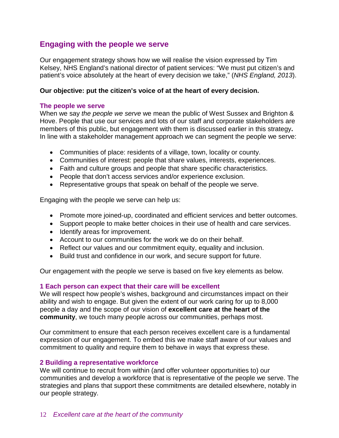## **Engaging with the people we serve**

Our engagement strategy shows how we will realise the vision expressed by Tim Kelsey, NHS England's national director of patient services: "We must put citizen's and patient's voice absolutely at the heart of every decision we take," (*NHS England, 2013*).

#### **Our objective: put the citizen's voice of at the heart of every decision.**

#### **The people we serve**

When we say *the people we serve* we mean the public of West Sussex and Brighton & Hove. People that use our services and lots of our staff and corporate stakeholders are members of this public, but engagement with them is discussed earlier in this strategy**.** In line with a stakeholder management approach we can segment the people we serve:

- Communities of place: residents of a village, town, locality or county.
- Communities of interest: people that share values, interests, experiences.
- Faith and culture groups and people that share specific characteristics.
- People that don't access services and/or experience exclusion.
- Representative groups that speak on behalf of the people we serve.

Engaging with the people we serve can help us:

- Promote more joined-up, coordinated and efficient services and better outcomes.
- Support people to make better choices in their use of health and care services.
- Identify areas for improvement.
- Account to our communities for the work we do on their behalf.
- Reflect our values and our commitment equity, equality and inclusion.
- Build trust and confidence in our work, and secure support for future.

Our engagement with the people we serve is based on five key elements as below.

#### **1 Each person can expect that their care will be excellent**

We will respect how people's wishes, background and circumstances impact on their ability and wish to engage. But given the extent of our work caring for up to 8,000 people a day and the scope of our vision of **excellent care at the heart of the community**, we touch many people across our communities, perhaps most.

Our commitment to ensure that each person receives excellent care is a fundamental expression of our engagement. To embed this we make staff aware of our values and commitment to quality and require them to behave in ways that express these.

#### **2 Building a representative workforce**

We will continue to recruit from within (and offer volunteer opportunities to) our communities and develop a workforce that is representative of the people we serve. The strategies and plans that support these commitments are detailed elsewhere, notably in our people strategy.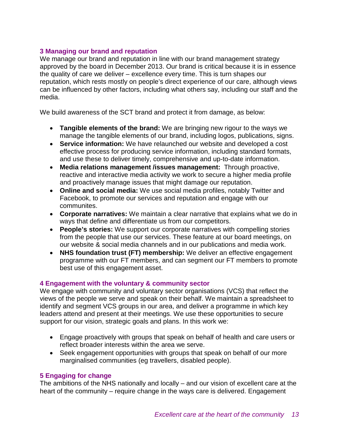#### **3 Managing our brand and reputation**

We manage our brand and reputation in line with our brand management strategy approved by the board in December 2013. Our brand is critical because it is in essence the quality of care we deliver – excellence every time. This is turn shapes our reputation, which rests mostly on people's direct experience of our care, although views can be influenced by other factors, including what others say, including our staff and the media.

We build awareness of the SCT brand and protect it from damage, as below:

- **Tangible elements of the brand:** We are bringing new rigour to the ways we manage the tangible elements of our brand, including logos, publications, signs.
- **Service information:** We have relaunched our website and developed a cost effective process for producing service information, including standard formats, and use these to deliver timely, comprehensive and up-to-date information.
- **Media relations management /issues management:** Through proactive, reactive and interactive media activity we work to secure a higher media profile and proactively manage issues that might damage our reputation.
- **Online and social media:** We use social media profiles, notably Twitter and Facebook, to promote our services and reputation and engage with our communites.
- **Corporate narratives:** We maintain a clear narrative that explains what we do in ways that define and differentiate us from our competitors.
- **People's stories:** We support our corporate narratives with compelling stories from the people that use our services. These feature at our board meetings, on our website & social media channels and in our publications and media work.
- **NHS foundation trust (FT) membership:** We deliver an effective engagement programme with our FT members, and can segment our FT members to promote best use of this engagement asset.

#### **4 Engagement with the voluntary & community sector**

We engage with community and voluntary sector organisations (VCS) that reflect the views of the people we serve and speak on their behalf. We maintain a spreadsheet to identify and segment VCS groups in our area, and deliver a programme in which key leaders attend and present at their meetings. We use these opportunities to secure support for our vision, strategic goals and plans. In this work we:

- Engage proactively with groups that speak on behalf of health and care users or reflect broader interests within the area we serve.
- Seek engagement opportunities with groups that speak on behalf of our more marginalised communities (eg travellers, disabled people).

#### **5 Engaging for change**

The ambitions of the NHS nationally and locally – and our vision of excellent care at the heart of the community – require change in the ways care is delivered. Engagement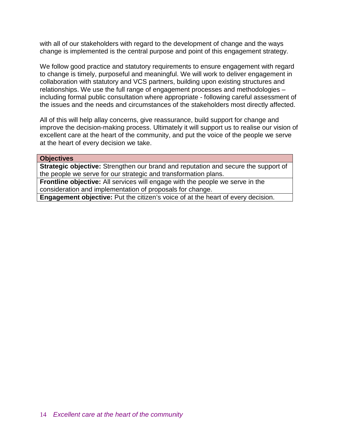with all of our stakeholders with regard to the development of change and the ways change is implemented is the central purpose and point of this engagement strategy.

We follow good practice and statutory requirements to ensure engagement with regard to change is timely, purposeful and meaningful. We will work to deliver engagement in collaboration with statutory and VCS partners, building upon existing structures and relationships. We use the full range of engagement processes and methodologies – including formal public consultation where appropriate - following careful assessment of the issues and the needs and circumstances of the stakeholders most directly affected.

All of this will help allay concerns, give reassurance, build support for change and improve the decision-making process. Ultimately it will support us to realise our vision of excellent care at the heart of the community, and put the voice of the people we serve at the heart of every decision we take.

#### **Objectives**

**Strategic objective:** Strengthen our brand and reputation and secure the support of the people we serve for our strategic and transformation plans.

**Frontline objective:** All services will engage with the people we serve in the consideration and implementation of proposals for change.

**Engagement objective:** Put the citizen's voice of at the heart of every decision.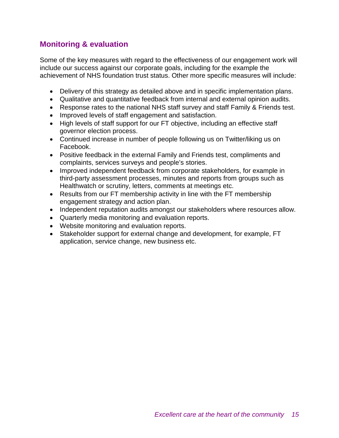## **Monitoring & evaluation**

Some of the key measures with regard to the effectiveness of our engagement work will include our success against our corporate goals, including for the example the achievement of NHS foundation trust status. Other more specific measures will include:

- Delivery of this strategy as detailed above and in specific implementation plans.
- Qualitative and quantitative feedback from internal and external opinion audits.
- Response rates to the national NHS staff survey and staff Family & Friends test.
- Improved levels of staff engagement and satisfaction.
- High levels of staff support for our FT objective, including an effective staff governor election process.
- Continued increase in number of people following us on Twitter/liking us on Facebook.
- Positive feedback in the external Family and Friends test, compliments and complaints, services surveys and people's stories.
- Improved independent feedback from corporate stakeholders, for example in third-party assessment processes, minutes and reports from groups such as Healthwatch or scrutiny, letters, comments at meetings etc.
- Results from our FT membership activity in line with the FT membership engagement strategy and action plan.
- Independent reputation audits amongst our stakeholders where resources allow.
- Quarterly media monitoring and evaluation reports.
- Website monitoring and evaluation reports.
- Stakeholder support for external change and development, for example, FT application, service change, new business etc.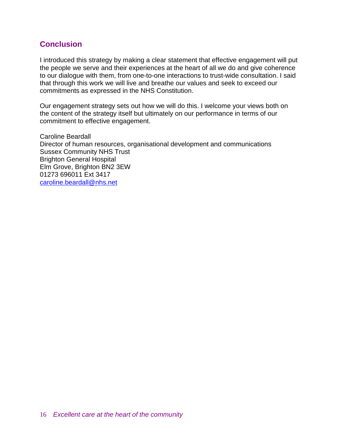## **Conclusion**

I introduced this strategy by making a clear statement that effective engagement will put the people we serve and their experiences at the heart of all we do and give coherence to our dialogue with them, from one-to-one interactions to trust-wide consultation. I said that through this work we will live and breathe our values and seek to exceed our commitments as expressed in the NHS Constitution.

Our engagement strategy sets out how we will do this. I welcome your views both on the content of the strategy itself but ultimately on our performance in terms of our commitment to effective engagement.

Caroline Beardall Director of human resources, organisational development and communications Sussex Community NHS Trust Brighton General Hospital Elm Grove, Brighton BN2 3EW 01273 696011 Ext 3417 [caroline.beardall@nhs.net](mailto:caroline.beardall@nhs.net)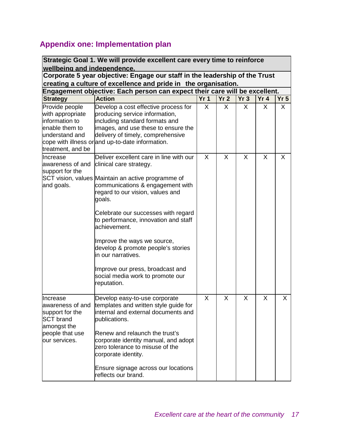# **Appendix one: Implementation plan**

|                                                                                                                        | Strategic Goal 1. We will provide excellent care every time to reinforce                                                                                                                                                                                                                                                                                                                                                                                                                    |                 |                 |     |                 |                 |
|------------------------------------------------------------------------------------------------------------------------|---------------------------------------------------------------------------------------------------------------------------------------------------------------------------------------------------------------------------------------------------------------------------------------------------------------------------------------------------------------------------------------------------------------------------------------------------------------------------------------------|-----------------|-----------------|-----|-----------------|-----------------|
| wellbeing and independence.                                                                                            | Corporate 5 year objective: Engage our staff in the leadership of the Trust                                                                                                                                                                                                                                                                                                                                                                                                                 |                 |                 |     |                 |                 |
|                                                                                                                        | creating a culture of excellence and pride in the organisation.                                                                                                                                                                                                                                                                                                                                                                                                                             |                 |                 |     |                 |                 |
|                                                                                                                        | Engagement objective: Each person can expect their care will be excellent.                                                                                                                                                                                                                                                                                                                                                                                                                  |                 |                 |     |                 |                 |
| <b>Strategy</b>                                                                                                        | <b>Action</b>                                                                                                                                                                                                                                                                                                                                                                                                                                                                               | Yr <sub>1</sub> | Yr <sub>2</sub> | Yr3 | Yr <sub>4</sub> | Yr <sub>5</sub> |
| Provide people<br>with appropriate<br>information to<br>enable them to<br>understand and<br>treatment, and be          | Develop a cost effective process for<br>producing service information,<br>including standard formats and<br>images, and use these to ensure the<br>delivery of timely, comprehensive<br>cope with illness or and up-to-date information.                                                                                                                                                                                                                                                    | X               | X               | X.  | X               | X               |
| Increase<br>awareness of and<br>support for the<br>and goals.                                                          | Deliver excellent care in line with our<br>clinical care strategy.<br>SCT vision, values Maintain an active programme of<br>communications & engagement with<br>regard to our vision, values and<br>goals.<br>Celebrate our successes with regard<br>to performance, innovation and staff<br>achievement.<br>Improve the ways we source,<br>develop & promote people's stories<br>in our narratives.<br>Improve our press, broadcast and<br>social media work to promote our<br>reputation. | X               | X               | X   | X               | X               |
| Increase<br>awareness of and<br>support for the<br><b>SCT</b> brand<br>amongst the<br>people that use<br>our services. | Develop easy-to-use corporate<br>templates and written style guide for<br>internal and external documents and<br>publications.<br>Renew and relaunch the trust's<br>corporate identity manual, and adopt<br>zero tolerance to misuse of the<br>corporate identity.<br>Ensure signage across our locations<br>reflects our brand.                                                                                                                                                            | X               | X               | X   | X               | X               |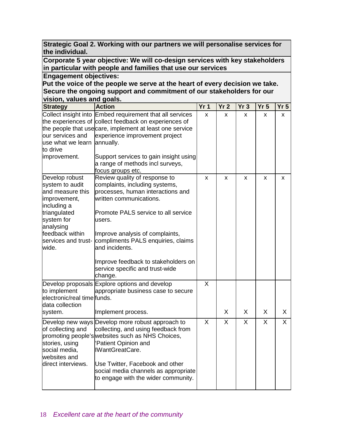| Strategic Goal 2. Working with our partners we will personalise services for |  |
|------------------------------------------------------------------------------|--|
| the individual.                                                              |  |

**Corporate 5 year objective: We will co-design services with key stakeholders in particular with people and families that use our services**

#### **Engagement objectives:**

**Put the voice of the people we serve at the heart of every decision we take. Secure the ongoing support and commitment of our stakeholders for our vision, values and goals.**

| <b>Strategy</b>                                                                                                                                                                    | <b>Action</b>                                                                                                                                                                                                                                                                                                                                                    | Yr <sub>1</sub> | Yr <sub>2</sub> | Yr <sub>3</sub> | Yr <sub>5</sub> | Yr <sub>5</sub> |
|------------------------------------------------------------------------------------------------------------------------------------------------------------------------------------|------------------------------------------------------------------------------------------------------------------------------------------------------------------------------------------------------------------------------------------------------------------------------------------------------------------------------------------------------------------|-----------------|-----------------|-----------------|-----------------|-----------------|
| our services and<br>use what we learn annually.<br>to drive<br>improvement.                                                                                                        | Collect insight into Embed requirement that all services<br>the experiences of collect feedback on experiences of<br>the people that usecare, implement at least one service<br>experience improvement project<br>Support services to gain insight using<br>a range of methods incl surveys,<br>focus groups etc.                                                | X               | X               | X               | X               | X               |
| Develop robust<br>system to audit<br>and measure this<br>improvement,<br>including a<br>triangulated<br>system for<br>analysing<br>feedback within<br>services and trust-<br>wide. | Review quality of response to<br>complaints, including systems,<br>processes, human interactions and<br>written communications.<br>Promote PALS service to all service<br>users.<br>Improve analysis of complaints,<br>compliments PALS enquiries, claims<br>and incidents.<br>Improve feedback to stakeholders on<br>service specific and trust-wide<br>change. | X               | X               | X               | X               | X               |
| to implement<br>electronic/real time funds.<br>data collection<br>system.                                                                                                          | Develop proposals Explore options and develop<br>appropriate business case to secure<br>Implement process.                                                                                                                                                                                                                                                       | $\mathsf{X}$    | X               | X               | X               | X               |
| of collecting and<br>stories, using<br>social media,<br>websites and<br>direct interviews.                                                                                         | Develop new ways Develop more robust approach to<br>collecting, and using feedback from<br>promoting people's websites such as NHS Choices,<br>Patient Opinion and<br><b>IWantGreatCare.</b><br>Use Twitter, Facebook and other<br>social media channels as appropriate<br>to engage with the wider community.                                                   | X               | $\mathsf{X}$    | X               | X               | X               |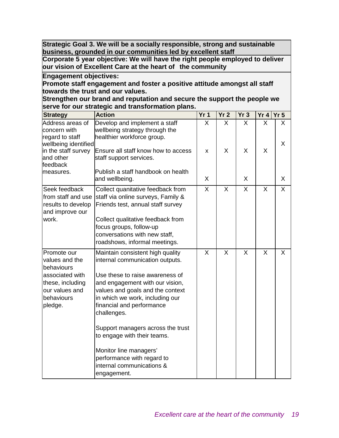**Strategic Goal 3. We will be a socially responsible, strong and sustainable business, grounded in our communities led by excellent staff**

**Corporate 5 year objective: We will have the right people employed to deliver our vision of Excellent Care at the heart of the community**

**Engagement objectives:**

**Promote staff engagement and foster a positive attitude amongst all staff towards the trust and our values.**

**Strengthen our brand and reputation and secure the support the people we serve for our strategic and transformation plans.**

| <b>Strategy</b>                                                                                                               | <b>Action</b>                                                                                                                                                                                                                                                                                                                                                                                                                        | Yr <sub>1</sub>         | Yr <sub>2</sub> | Yr3     | Yr 4 Yr 5 |   |
|-------------------------------------------------------------------------------------------------------------------------------|--------------------------------------------------------------------------------------------------------------------------------------------------------------------------------------------------------------------------------------------------------------------------------------------------------------------------------------------------------------------------------------------------------------------------------------|-------------------------|-----------------|---------|-----------|---|
| Address areas of<br>concern with<br>regard to staff                                                                           | Develop and implement a staff<br>wellbeing strategy through the<br>healthier workforce group.                                                                                                                                                                                                                                                                                                                                        | X.                      | X               | X       | X         | X |
| wellbeing identified                                                                                                          |                                                                                                                                                                                                                                                                                                                                                                                                                                      |                         |                 |         |           | X |
| in the staff survey<br>and other<br>feedback                                                                                  | Ensure all staff know how to access<br>staff support services.                                                                                                                                                                                                                                                                                                                                                                       | x                       | X               | X       | X         |   |
| measures.                                                                                                                     | Publish a staff handbook on health<br>and wellbeing.                                                                                                                                                                                                                                                                                                                                                                                 | X                       |                 | X       |           | X |
| Seek feedback<br>from staff and use<br>results to develop<br>and improve our<br>work.                                         | Collect quanitative feedback from<br>staff via online surveys, Family &<br>Friends test, annual staff survey<br>Collect qualitative feedback from<br>focus groups, follow-up<br>conversations with new staff,<br>roadshows, informal meetings.                                                                                                                                                                                       | $\overline{\mathsf{x}}$ | X               | X       | $\times$  | X |
| Promote our<br>values and the<br>behaviours<br>associated with<br>these, including<br>our values and<br>behaviours<br>pledge. | Maintain consistent high quality<br>internal communication outputs.<br>Use these to raise awareness of<br>and engagement with our vision,<br>values and goals and the context<br>in which we work, including our<br>financial and performance<br>challenges.<br>Support managers across the trust<br>to engage with their teams.<br>Monitor line managers'<br>performance with regard to<br>internal communications &<br>engagement. | X                       | X               | $\sf X$ | X         | X |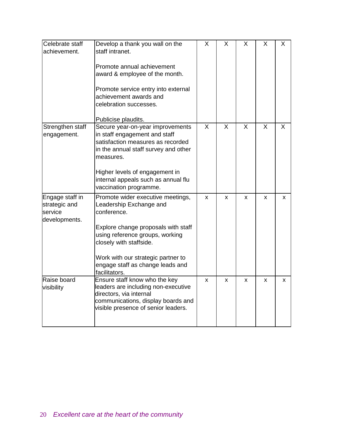| Celebrate staff  | Develop a thank you wall on the      | X            | X        | X                       | X            | X            |
|------------------|--------------------------------------|--------------|----------|-------------------------|--------------|--------------|
| achievement.     | staff intranet.                      |              |          |                         |              |              |
|                  |                                      |              |          |                         |              |              |
|                  | Promote annual achievement           |              |          |                         |              |              |
|                  | award & employee of the month.       |              |          |                         |              |              |
|                  | Promote service entry into external  |              |          |                         |              |              |
|                  | achievement awards and               |              |          |                         |              |              |
|                  | celebration successes.               |              |          |                         |              |              |
|                  | Publicise plaudits.                  |              |          |                         |              |              |
| Strengthen staff | Secure year-on-year improvements     | $\mathsf{X}$ | $\times$ | $\overline{\mathsf{x}}$ | $\mathsf{X}$ | $\mathsf{x}$ |
| engagement.      | in staff engagement and staff        |              |          |                         |              |              |
|                  | satisfaction measures as recorded    |              |          |                         |              |              |
|                  | in the annual staff survey and other |              |          |                         |              |              |
|                  | measures.                            |              |          |                         |              |              |
|                  | Higher levels of engagement in       |              |          |                         |              |              |
|                  | internal appeals such as annual flu  |              |          |                         |              |              |
|                  | vaccination programme.               |              |          |                         |              |              |
| Engage staff in  | Promote wider executive meetings,    | X            | X        | X                       | x            | x            |
| strategic and    | Leadership Exchange and              |              |          |                         |              |              |
| service          | conference.                          |              |          |                         |              |              |
| developments.    |                                      |              |          |                         |              |              |
|                  | Explore change proposals with staff  |              |          |                         |              |              |
|                  | using reference groups, working      |              |          |                         |              |              |
|                  | closely with staffside.              |              |          |                         |              |              |
|                  | Work with our strategic partner to   |              |          |                         |              |              |
|                  | engage staff as change leads and     |              |          |                         |              |              |
|                  | facilitators.                        |              |          |                         |              |              |
| Raise board      | Ensure staff know who the key        | X            | X        | X                       | X            | x            |
| visibility       | leaders are including non-executive  |              |          |                         |              |              |
|                  | directors, via internal              |              |          |                         |              |              |
|                  | communications, display boards and   |              |          |                         |              |              |
|                  | visible presence of senior leaders.  |              |          |                         |              |              |
|                  |                                      |              |          |                         |              |              |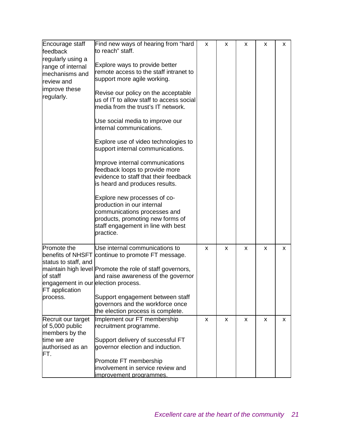| Encourage staff<br>feedback         | Find new ways of hearing from "hard<br>to reach" staff.  | X | X | X | X | X |
|-------------------------------------|----------------------------------------------------------|---|---|---|---|---|
|                                     |                                                          |   |   |   |   |   |
| regularly using a                   | Explore ways to provide better                           |   |   |   |   |   |
| range of internal                   | remote access to the staff intranet to                   |   |   |   |   |   |
| mechanisms and                      | support more agile working.                              |   |   |   |   |   |
| review and                          |                                                          |   |   |   |   |   |
| improve these                       | Revise our policy on the acceptable                      |   |   |   |   |   |
| regularly.                          | us of IT to allow staff to access social                 |   |   |   |   |   |
|                                     | media from the trust's IT network.                       |   |   |   |   |   |
|                                     |                                                          |   |   |   |   |   |
|                                     | Use social media to improve our                          |   |   |   |   |   |
|                                     | internal communications.                                 |   |   |   |   |   |
|                                     |                                                          |   |   |   |   |   |
|                                     | Explore use of video technologies to                     |   |   |   |   |   |
|                                     | support internal communications.                         |   |   |   |   |   |
|                                     |                                                          |   |   |   |   |   |
|                                     | Improve internal communications                          |   |   |   |   |   |
|                                     | feedback loops to provide more                           |   |   |   |   |   |
|                                     | evidence to staff that their feedback                    |   |   |   |   |   |
|                                     | is heard and produces results.                           |   |   |   |   |   |
|                                     |                                                          |   |   |   |   |   |
|                                     | Explore new processes of co-                             |   |   |   |   |   |
|                                     | production in our internal                               |   |   |   |   |   |
|                                     | communications processes and                             |   |   |   |   |   |
|                                     | products, promoting new forms of                         |   |   |   |   |   |
|                                     | staff engagement in line with best                       |   |   |   |   |   |
|                                     | practice.                                                |   |   |   |   |   |
|                                     |                                                          |   |   |   |   |   |
| Promote the                         | Use internal communications to                           | X | X | X | X | x |
| benefits of NHSFT                   | continue to promote FT message.                          |   |   |   |   |   |
| status to staff, and                |                                                          |   |   |   |   |   |
|                                     | maintain high level Promote the role of staff governors, |   |   |   |   |   |
| of staff                            | and raise awareness of the governor                      |   |   |   |   |   |
| engagement in our election process. |                                                          |   |   |   |   |   |
| <b>FT</b> application               |                                                          |   |   |   |   |   |
| process.                            | Support engagement between staff                         |   |   |   |   |   |
|                                     | governors and the workforce once                         |   |   |   |   |   |
|                                     | the election process is complete.                        |   |   |   |   |   |
| Recruit our target                  | Implement our FT membership                              | X | X | X | X | X |
| of 5,000 public                     | recruitment programme.                                   |   |   |   |   |   |
| members by the                      |                                                          |   |   |   |   |   |
| time we are                         | Support delivery of successful FT                        |   |   |   |   |   |
| authorised as an                    | governor election and induction.                         |   |   |   |   |   |
| FT.                                 |                                                          |   |   |   |   |   |
|                                     | Promote FT membership                                    |   |   |   |   |   |
|                                     | involvement in service review and                        |   |   |   |   |   |
|                                     | improvement programmes.                                  |   |   |   |   |   |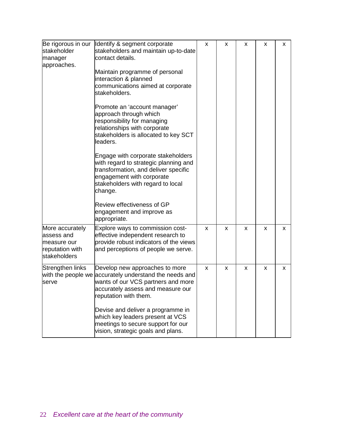| Be rigorous in our<br>stakeholder<br>manager<br>approaches.                     | Identify & segment corporate<br>stakeholders and maintain up-to-date<br>contact details.<br>Maintain programme of personal<br>interaction & planned<br>communications aimed at corporate<br>stakeholders.<br>Promote an 'account manager'<br>approach through which<br>responsibility for managing<br>relationships with corporate<br>stakeholders is allocated to key SCT<br>leaders.<br>Engage with corporate stakeholders<br>with regard to strategic planning and<br>transformation, and deliver specific<br>engagement with corporate<br>stakeholders with regard to local<br>change.<br>Review effectiveness of GP<br>engagement and improve as<br>appropriate. | X | x | X | X | x |
|---------------------------------------------------------------------------------|-----------------------------------------------------------------------------------------------------------------------------------------------------------------------------------------------------------------------------------------------------------------------------------------------------------------------------------------------------------------------------------------------------------------------------------------------------------------------------------------------------------------------------------------------------------------------------------------------------------------------------------------------------------------------|---|---|---|---|---|
| More accurately<br>assess and<br>measure our<br>reputation with<br>stakeholders | Explore ways to commission cost-<br>effective independent research to<br>provide robust indicators of the views<br>and perceptions of people we serve.                                                                                                                                                                                                                                                                                                                                                                                                                                                                                                                | X | x | X | X | x |
| Strengthen links<br>serve                                                       | Develop new approaches to more<br>with the people we accurately understand the needs and<br>wants of our VCS partners and more<br>accurately assess and measure our<br>reputation with them.<br>Devise and deliver a programme in<br>which key leaders present at VCS<br>meetings to secure support for our<br>vision, strategic goals and plans.                                                                                                                                                                                                                                                                                                                     | X | x | X | X | x |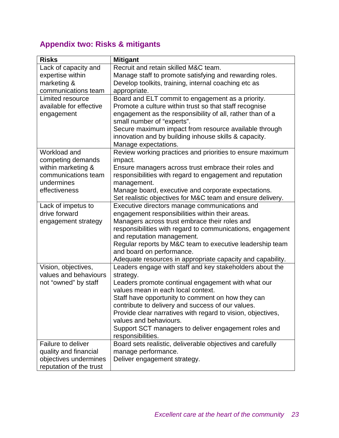# **Appendix two: Risks & mitigants**

| <b>Risks</b>            | <b>Mitigant</b>                                                                          |
|-------------------------|------------------------------------------------------------------------------------------|
| Lack of capacity and    | Recruit and retain skilled M&C team.                                                     |
| expertise within        | Manage staff to promote satisfying and rewarding roles.                                  |
| marketing &             | Develop toolkits, training, internal coaching etc as                                     |
| communications team     | appropriate.                                                                             |
| Limited resource        | Board and ELT commit to engagement as a priority.                                        |
| available for effective | Promote a culture within trust so that staff recognise                                   |
| engagement              | engagement as the responsibility of all, rather than of a                                |
|                         | small number of "experts".                                                               |
|                         | Secure maximum impact from resource available through                                    |
|                         | innovation and by building inhouse skills & capacity.                                    |
|                         | Manage expectations.                                                                     |
| Workload and            | Review working practices and priorities to ensure maximum                                |
| competing demands       | impact.                                                                                  |
| within marketing &      | Ensure managers across trust embrace their roles and                                     |
| communications team     | responsibilities with regard to engagement and reputation                                |
| undermines              | management.                                                                              |
| effectiveness           | Manage board, executive and corporate expectations.                                      |
|                         | Set realistic objectives for M&C team and ensure delivery.                               |
| Lack of impetus to      | Executive directors manage communications and                                            |
| drive forward           | engagement responsibilities within their areas.                                          |
| engagement strategy     | Managers across trust embrace their roles and                                            |
|                         | responsibilities with regard to communications, engagement<br>and reputation management. |
|                         | Regular reports by M&C team to executive leadership team                                 |
|                         | and board on performance.                                                                |
|                         | Adequate resources in appropriate capacity and capability.                               |
| Vision, objectives,     | Leaders engage with staff and key stakeholders about the                                 |
| values and behaviours   | strategy.                                                                                |
| not "owned" by staff    | Leaders promote continual engagement with what our                                       |
|                         | values mean in each local context.                                                       |
|                         | Staff have opportunity to comment on how they can                                        |
|                         | contribute to delivery and success of our values.                                        |
|                         | Provide clear narratives with regard to vision, objectives,                              |
|                         | values and behaviours.                                                                   |
|                         | Support SCT managers to deliver engagement roles and                                     |
|                         | responsibilities.                                                                        |
| Failure to deliver      | Board sets realistic, deliverable objectives and carefully                               |
| quality and financial   | manage performance.                                                                      |
| objectives undermines   | Deliver engagement strategy.                                                             |
| reputation of the trust |                                                                                          |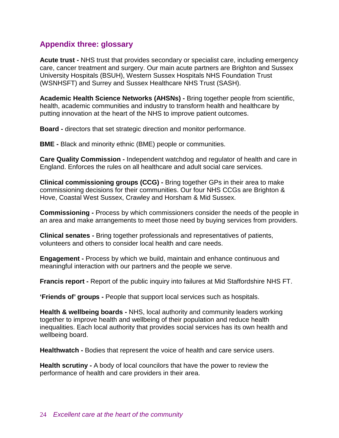## **Appendix three: glossary**

**Acute trust -** NHS trust that provides secondary or specialist care, including emergency care, cancer treatment and surgery. Our main acute partners are Brighton and Sussex University Hospitals (BSUH), Western Sussex Hospitals NHS Foundation Trust (WSNHSFT) and Surrey and Sussex Healthcare NHS Trust (SASH).

**Academic Health Science Networks (AHSNs) -** Bring together people from scientific, health, academic communities and industry to transform health and healthcare by putting innovation at the heart of the NHS to improve patient outcomes.

**Board -** directors that set strategic direction and monitor performance.

**BME -** Black and minority ethnic (BME) people or communities.

**Care Quality Commission -** Independent watchdog and regulator of health and care in England. Enforces the rules on all healthcare and adult social care services.

**Clinical commissioning groups (CCG) -** Bring together GPs in their area to make commissioning decisions for their communities. Our four NHS CCGs are Brighton & Hove, Coastal West Sussex, Crawley and Horsham & Mid Sussex.

**Commissioning -** Process by which commissioners consider the needs of the people in an area and make arrangements to meet those need by buying services from providers.

**Clinical senates -** Bring together professionals and representatives of patients, volunteers and others to consider local health and care needs.

**Engagement -** Process by which we build, maintain and enhance continuous and meaningful interaction with our partners and the people we serve.

**Francis report -** Report of the public inquiry into failures at Mid Staffordshire NHS FT.

**'Friends of' groups -** People that support local services such as hospitals.

**Health & wellbeing boards -** NHS, local authority and community leaders working together to improve health and wellbeing of their population and reduce health inequalities. Each local authority that provides social services has its own health and wellbeing board.

**Healthwatch -** Bodies that represent the voice of health and care service users.

**Health scrutiny -** A body of local councilors that have the power to review the performance of health and care providers in their area.